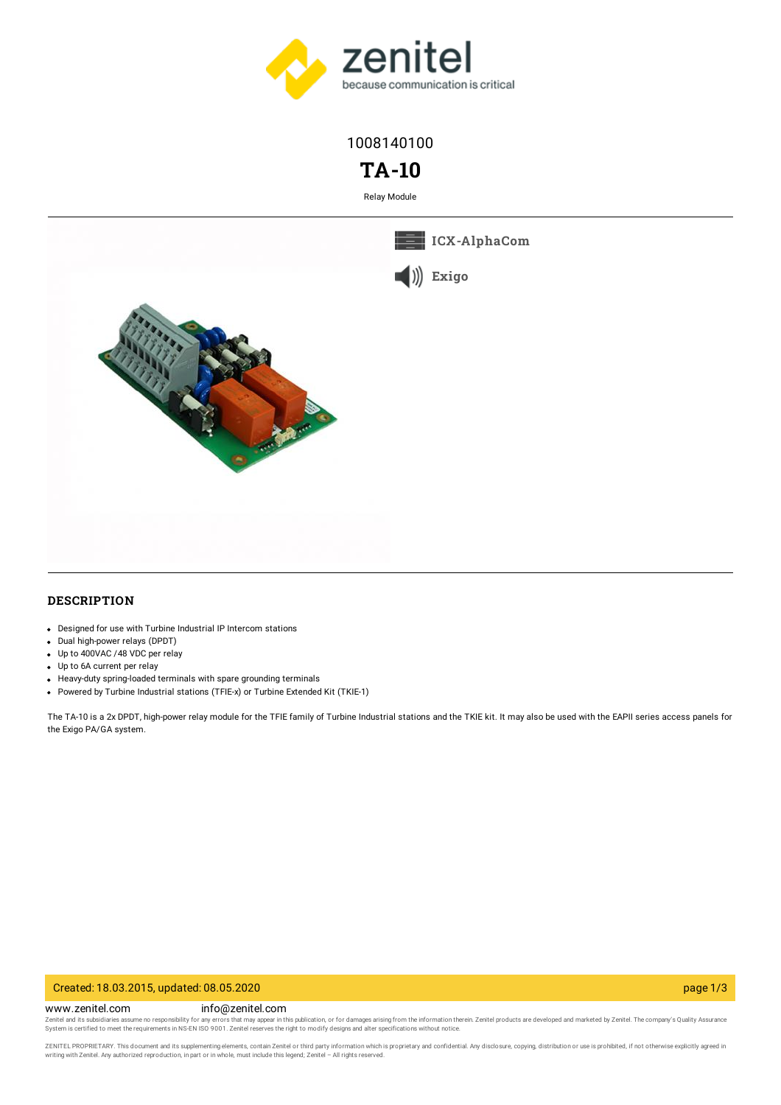

1008140100

# **TA-10**

Relay Module





# **DESCRIPTION**

- Designed for use with Turbine Industrial IP Intercom stations
- Dual high-power relays (DPDT)
- Up to 400VAC /48 VDC per relay
- Up to 6A current per relay
- Heavy-duty spring-loaded terminals with spare grounding terminals
- Powered by Turbine Industrial stations (TFIE-x) or Turbine Extended Kit (TKIE-1)

The TA-10 is a 2x DPDT, high-power relay module for the TFIE family of Turbine Industrial stations and the TKIE kit. It may also be used with the EAPII series access panels for the Exigo PA/GA system.

#### Created: 18.03.2015, updated: 08.05.2020 page 1/3

www.zenitel.com info@zenitel.com

Zenitel and its subsidiaries assume no responsibility for any errors that may appear in this publication, or for damages arising from the information therein. Zenitel products are developed and marketed by Zenitel. The com

ZENITEL PROPRIETARY. This document and its supplementing elements, contain Zenitel or third party information which is proprietary and confidential. Any disclosure, copying, distribution or use is prohibited, if not otherw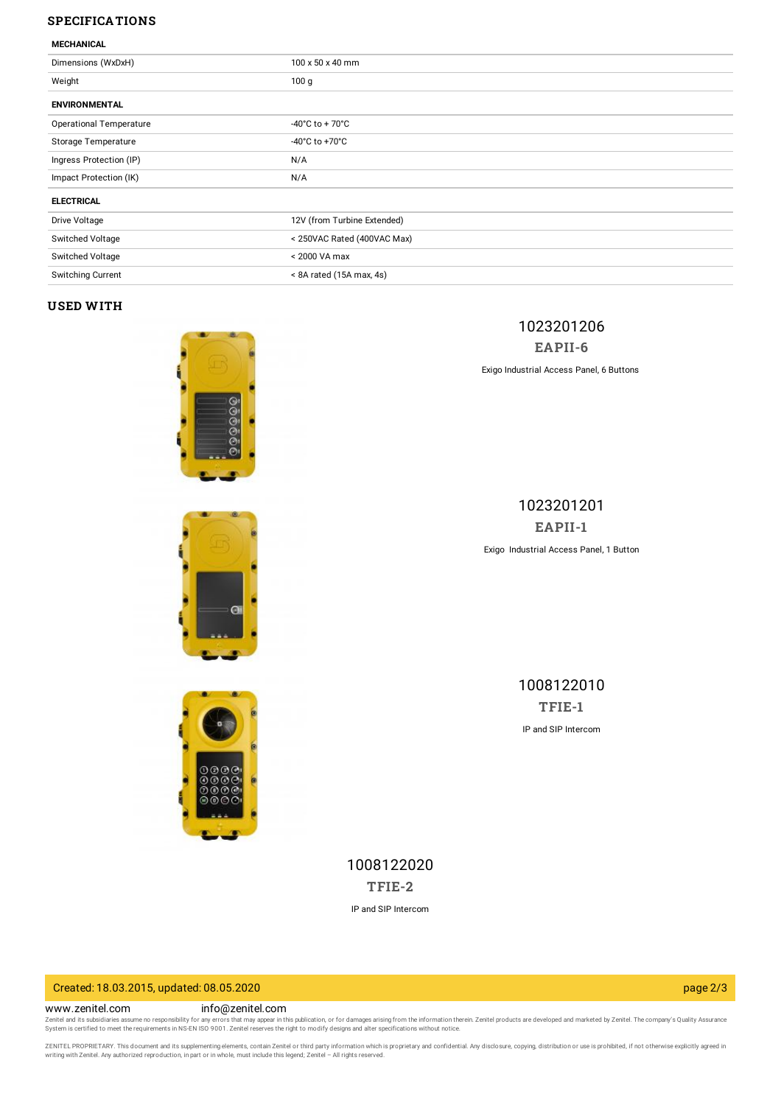# **SPECIFICATIONS**

#### **MECHANICAL**

| Dimensions (WxDxH)             | 100 x 50 x 40 mm                     |
|--------------------------------|--------------------------------------|
| Weight                         | 100 <sub>g</sub>                     |
| <b>ENVIRONMENTAL</b>           |                                      |
| <b>Operational Temperature</b> | $-40^{\circ}$ C to + 70 $^{\circ}$ C |
| Storage Temperature            | -40 $^{\circ}$ C to +70 $^{\circ}$ C |
| Ingress Protection (IP)        | N/A                                  |
| Impact Protection (IK)         | N/A                                  |
| <b>ELECTRICAL</b>              |                                      |
| Drive Voltage                  | 12V (from Turbine Extended)          |
| Switched Voltage               | < 250VAC Rated (400VAC Max)          |
| Switched Voltage               | < 2000 VA max                        |
| Switching Current              | < 8A rated (15A max, 4s)             |

#### **USED WITH**





1023201201 **[EAPII-1](https://www.zenitel.com/product/eapii-1)** Exigo Industrial Access Panel, 1 Button



1008122010 **[TFIE-1](https://www.zenitel.com/product/tfie-1)** IP and SIP Intercom

1008122020 **[TFIE-2](https://www.zenitel.com/product/tfie-2)**

IP and SIP Intercom

### Created: 18.03.2015, updated: 08.05.2020 page 2/3

www.zenitel.com info@zenitel.com

Zenitel and its subsidiaries assume no responsibility for any errors that may appear in this publication, or for damages arising from the information therein. Zenitel products are developed and marketed by Zenitel. The com

ZENITEL PROPRIETARY. This document and its supplementing elements, contain Zenitel or third party information which is proprietary and confidential. Any disclosure, copying, distribution or use is prohibited, if not otherw